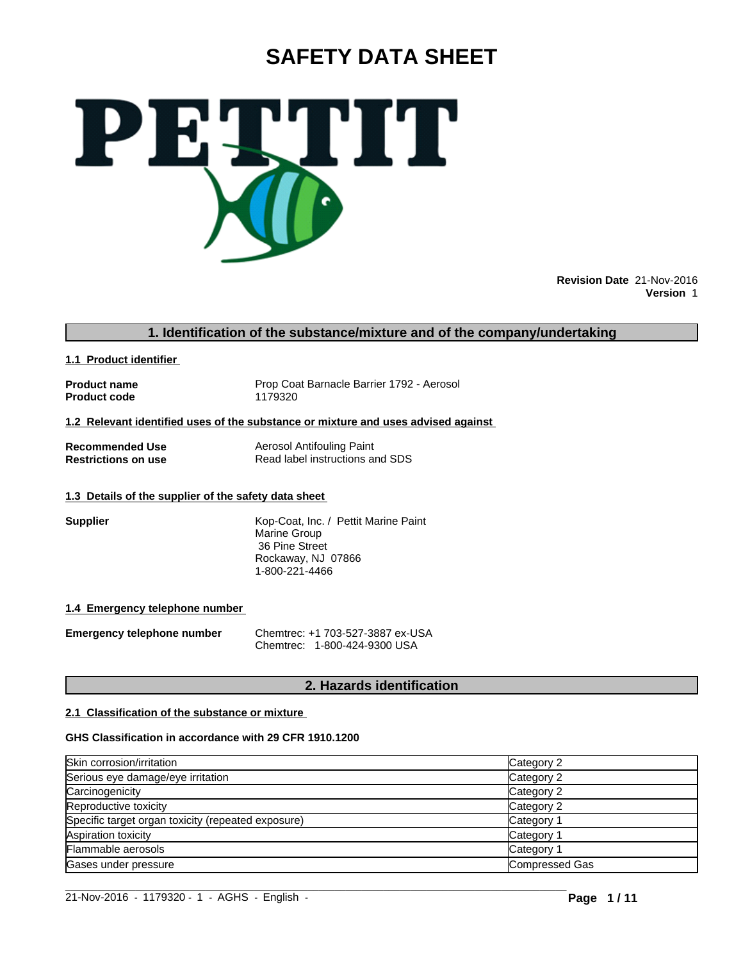# **SAFETY DATA SHEET**



**Revision Date** 21-Nov-2016 **Version** 1

# **1. Identification of the substance/mixture and of the company/undertaking**

**1.1 Product identifier** 

**Product code** 

**Product name** Prop Coat Barnacle Barrier 1792 - Aerosol<br> **Product code** 1179320

**1.2 Relevant identified uses of the substance or mixture and uses advised against** 

**Recommended Use** Aerosol Antifouling Paint<br> **Restrictions on use** Read label instructions are **Read label instructions and SDS** 

# **1.3 Details of the supplier of the safety data sheet**

**Supplier Supplier** Kop-Coat, Inc. / Pettit Marine Paint Marine Group 36 Pine Street Rockaway, NJ 07866 1-800-221-4466

#### **1.4 Emergency telephone number**

**Emergency telephone number** Chemtrec: +1 703-527-3887 ex-USA Chemtrec: 1-800-424-9300 USA

# **2. Hazards identification**

#### **2.1 Classification of the substance or mixture**

#### **GHS Classification in accordance with 29 CFR 1910.1200**

| Category 2     |
|----------------|
| Category 2     |
| Category 2     |
| Category 2     |
| Category 1     |
| Category 1     |
| Category 1     |
| Compressed Gas |
|                |
|                |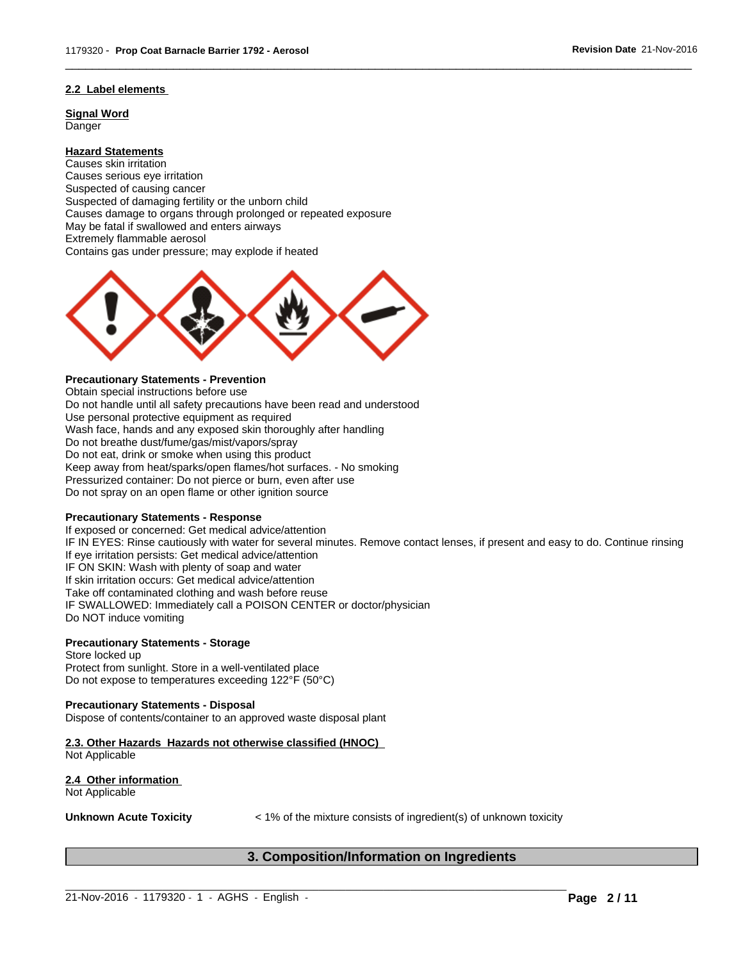#### **2.2 Label elements**

**Signal Word Danger** 

**Hazard Statements** Causes skin irritation Causes serious eye irritation Suspected of causing cancer Suspected of damaging fertility or the unborn child Causes damage to organs through prolonged or repeated exposure May be fatal if swallowed and enters airways Extremely flammable aerosol Contains gas under pressure; may explode if heated



# **Precautionary Statements - Prevention**

Obtain special instructions before use Do not handle until all safety precautions have been read and understood Use personal protective equipment as required Wash face, hands and any exposed skin thoroughly after handling Do not breathe dust/fume/gas/mist/vapors/spray Do not eat, drink or smoke when using this product Keep away from heat/sparks/open flames/hot surfaces. - No smoking Pressurized container: Do not pierce or burn, even after use Do not spray on an open flame or other ignition source

#### **Precautionary Statements - Response**

If exposed or concerned: Get medical advice/attention IF IN EYES: Rinse cautiously with water for several minutes. Remove contact lenses, if present and easy to do. Continue rinsing If eye irritation persists: Get medical advice/attention IF ON SKIN: Wash with plenty of soap and water If skin irritation occurs: Get medical advice/attention Take off contaminated clothing and wash before reuse IF SWALLOWED: Immediately call a POISON CENTER or doctor/physician Do NOT induce vomiting

 $\overline{\phantom{a}}$  ,  $\overline{\phantom{a}}$  ,  $\overline{\phantom{a}}$  ,  $\overline{\phantom{a}}$  ,  $\overline{\phantom{a}}$  ,  $\overline{\phantom{a}}$  ,  $\overline{\phantom{a}}$  ,  $\overline{\phantom{a}}$  ,  $\overline{\phantom{a}}$  ,  $\overline{\phantom{a}}$  ,  $\overline{\phantom{a}}$  ,  $\overline{\phantom{a}}$  ,  $\overline{\phantom{a}}$  ,  $\overline{\phantom{a}}$  ,  $\overline{\phantom{a}}$  ,  $\overline{\phantom{a}}$ 

#### **Precautionary Statements - Storage**

Store locked up Protect from sunlight. Store in a well-ventilated place Do not expose to temperatures exceeding 122°F (50°C)

#### **Precautionary Statements - Disposal**

Dispose of contents/container to an approved waste disposal plant

**2.3. Other Hazards Hazards not otherwise classified (HNOC)**  Not Applicable

**2.4 Other information**  Not Applicable

**Unknown Acute Toxicity**  $\lt$  1% of the mixture consists of ingredient(s) of unknown toxicity

# **3. Composition/Information on Ingredients**

 $\_$  ,  $\_$  ,  $\_$  ,  $\_$  ,  $\_$  ,  $\_$  ,  $\_$  ,  $\_$  ,  $\_$  ,  $\_$  ,  $\_$  ,  $\_$  ,  $\_$  ,  $\_$  ,  $\_$  ,  $\_$  ,  $\_$  ,  $\_$  ,  $\_$  ,  $\_$  ,  $\_$  ,  $\_$  ,  $\_$  ,  $\_$  ,  $\_$  ,  $\_$  ,  $\_$  ,  $\_$  ,  $\_$  ,  $\_$  ,  $\_$  ,  $\_$  ,  $\_$  ,  $\_$  ,  $\_$  ,  $\_$  ,  $\_$  ,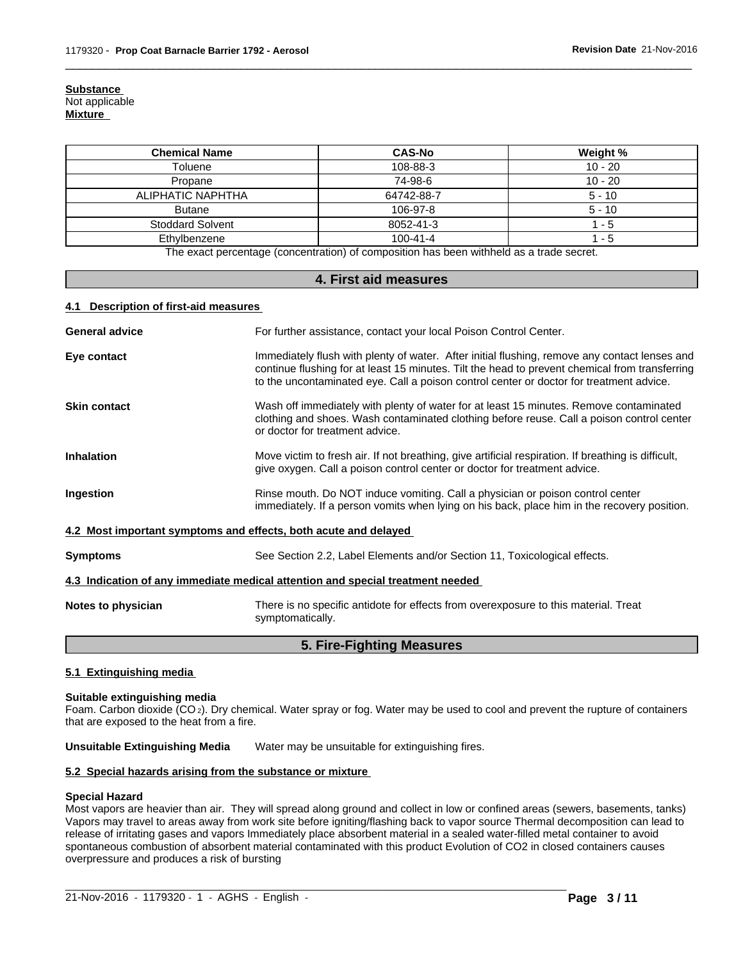**Substance**  Not applicable **Mixture** 

| <b>Chemical Name</b>    | <b>CAS-No</b>  | Weight %  |
|-------------------------|----------------|-----------|
| Toluene                 | 108-88-3       | $10 - 20$ |
| Propane                 | 74-98-6        | $10 - 20$ |
| ALIPHATIC NAPHTHA       | 64742-88-7     | $5 - 10$  |
| <b>Butane</b>           | 106-97-8       | $5 - 10$  |
| <b>Stoddard Solvent</b> | 8052-41-3      | 1 - 5     |
| Ethylbenzene            | $100 - 41 - 4$ | 1 - 5     |

 $\overline{\phantom{a}}$  ,  $\overline{\phantom{a}}$  ,  $\overline{\phantom{a}}$  ,  $\overline{\phantom{a}}$  ,  $\overline{\phantom{a}}$  ,  $\overline{\phantom{a}}$  ,  $\overline{\phantom{a}}$  ,  $\overline{\phantom{a}}$  ,  $\overline{\phantom{a}}$  ,  $\overline{\phantom{a}}$  ,  $\overline{\phantom{a}}$  ,  $\overline{\phantom{a}}$  ,  $\overline{\phantom{a}}$  ,  $\overline{\phantom{a}}$  ,  $\overline{\phantom{a}}$  ,  $\overline{\phantom{a}}$ 

The exact percentage (concentration) of composition has been withheld as a trade secret.

### **4. First aid measures**

#### **4.1 Description of first-aid measures**

| <b>General advice</b>                                                                                                                                                                                                                                                                                     | For further assistance, contact your local Poison Control Center.                                                                                                                                                      |  |  |  |  |
|-----------------------------------------------------------------------------------------------------------------------------------------------------------------------------------------------------------------------------------------------------------------------------------------------------------|------------------------------------------------------------------------------------------------------------------------------------------------------------------------------------------------------------------------|--|--|--|--|
| Immediately flush with plenty of water. After initial flushing, remove any contact lenses and<br>Eye contact<br>continue flushing for at least 15 minutes. Tilt the head to prevent chemical from transferring<br>to the uncontaminated eye. Call a poison control center or doctor for treatment advice. |                                                                                                                                                                                                                        |  |  |  |  |
| <b>Skin contact</b>                                                                                                                                                                                                                                                                                       | Wash off immediately with plenty of water for at least 15 minutes. Remove contaminated<br>clothing and shoes. Wash contaminated clothing before reuse. Call a poison control center<br>or doctor for treatment advice. |  |  |  |  |
| <b>Inhalation</b><br>Move victim to fresh air. If not breathing, give artificial respiration. If breathing is difficult,<br>give oxygen. Call a poison control center or doctor for treatment advice.                                                                                                     |                                                                                                                                                                                                                        |  |  |  |  |
| Rinse mouth. Do NOT induce vomiting. Call a physician or poison control center<br>Ingestion<br>immediately. If a person vomits when lying on his back, place him in the recovery position.                                                                                                                |                                                                                                                                                                                                                        |  |  |  |  |
|                                                                                                                                                                                                                                                                                                           | 4.2 Most important symptoms and effects, both acute and delayed                                                                                                                                                        |  |  |  |  |
| <b>Symptoms</b>                                                                                                                                                                                                                                                                                           | See Section 2.2, Label Elements and/or Section 11, Toxicological effects.                                                                                                                                              |  |  |  |  |
|                                                                                                                                                                                                                                                                                                           | 4.3 Indication of any immediate medical attention and special treatment needed                                                                                                                                         |  |  |  |  |
| Notes to physician                                                                                                                                                                                                                                                                                        | There is no specific antidote for effects from overexposure to this material. Treat<br>symptomatically.                                                                                                                |  |  |  |  |
|                                                                                                                                                                                                                                                                                                           | _ _ _ _ _ _ _                                                                                                                                                                                                          |  |  |  |  |

# **5. Fire-Fighting Measures**

#### **5.1 Extinguishing media**

#### **Suitable extinguishing media**

Foam. Carbon dioxide (CO 2). Dry chemical. Water spray or fog. Water may be used to cool and prevent the rupture of containers that are exposed to the heat from a fire.

**Unsuitable Extinguishing Media** Water may be unsuitable for extinguishing fires.

#### **5.2 Special hazards arising from the substance or mixture**

#### **Special Hazard**

Most vapors are heavier than air. They will spread along ground and collect in low or confined areas (sewers, basements, tanks) Vapors may travel to areas away from work site before igniting/flashing back to vapor source Thermal decomposition can lead to release of irritating gases and vapors Immediately place absorbent material in a sealed water-filled metal container to avoid spontaneous combustion of absorbent material contaminated with this product Evolution of CO2 in closed containers causes overpressure and produces a risk of bursting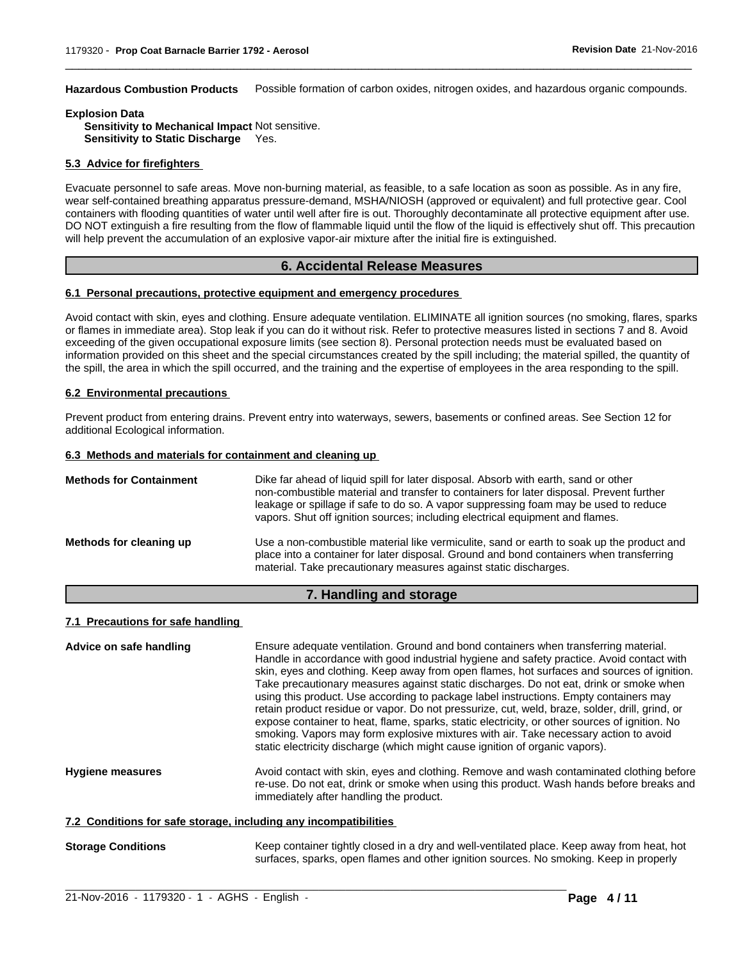**Hazardous Combustion Products** Possible formation of carbon oxides, nitrogen oxides, and hazardous organic compounds.

 $\overline{\phantom{a}}$  ,  $\overline{\phantom{a}}$  ,  $\overline{\phantom{a}}$  ,  $\overline{\phantom{a}}$  ,  $\overline{\phantom{a}}$  ,  $\overline{\phantom{a}}$  ,  $\overline{\phantom{a}}$  ,  $\overline{\phantom{a}}$  ,  $\overline{\phantom{a}}$  ,  $\overline{\phantom{a}}$  ,  $\overline{\phantom{a}}$  ,  $\overline{\phantom{a}}$  ,  $\overline{\phantom{a}}$  ,  $\overline{\phantom{a}}$  ,  $\overline{\phantom{a}}$  ,  $\overline{\phantom{a}}$ 

# **Explosion Data**

**Sensitivity to Mechanical Impact** Not sensitive. **Sensitivity to Static Discharge** Yes.

#### **5.3 Advice for firefighters**

Evacuate personnel to safe areas. Move non-burning material, as feasible, to a safe location as soon as possible. As in any fire, wear self-contained breathing apparatus pressure-demand, MSHA/NIOSH (approved or equivalent) and full protective gear. Cool containers with flooding quantities of water until well after fire is out. Thoroughly decontaminate all protective equipment after use. DO NOT extinguish a fire resulting from the flow of flammable liquid until the flow of the liquid is effectively shut off. This precaution will help prevent the accumulation of an explosive vapor-air mixture after the initial fire is extinguished.

# **6. Accidental Release Measures**

#### **6.1 Personal precautions, protective equipment and emergency procedures**

Avoid contact with skin, eyes and clothing. Ensure adequate ventilation. ELIMINATE all ignition sources (no smoking, flares, sparks or flames in immediate area). Stop leak if you can do it without risk. Refer to protective measures listed in sections 7 and 8. Avoid exceeding of the given occupational exposure limits (see section 8). Personal protection needs must be evaluated based on information provided on this sheet and the special circumstances created by the spill including; the material spilled, the quantity of the spill, the area in which the spill occurred, and the training and the expertise of employees in the area responding to the spill.

#### **6.2 Environmental precautions**

Prevent product from entering drains. Prevent entry into waterways, sewers, basements or confined areas. See Section 12 for additional Ecological information.

#### **6.3 Methods and materials for containment and cleaning up**

| <b>Methods for Containment</b> | Dike far ahead of liquid spill for later disposal. Absorb with earth, sand or other<br>non-combustible material and transfer to containers for later disposal. Prevent further<br>leakage or spillage if safe to do so. A vapor suppressing foam may be used to reduce<br>vapors. Shut off ignition sources; including electrical equipment and flames. |
|--------------------------------|---------------------------------------------------------------------------------------------------------------------------------------------------------------------------------------------------------------------------------------------------------------------------------------------------------------------------------------------------------|
| Methods for cleaning up        | Use a non-combustible material like vermiculite, sand or earth to soak up the product and<br>place into a container for later disposal. Ground and bond containers when transferring<br>material. Take precautionary measures against static discharges.                                                                                                |

### **7. Handling and storage**

#### **7.1 Precautions for safe handling**

| Advice on safe handling                                          | Ensure adequate ventilation. Ground and bond containers when transferring material.<br>Handle in accordance with good industrial hygiene and safety practice. Avoid contact with<br>skin, eyes and clothing. Keep away from open flames, hot surfaces and sources of ignition.<br>Take precautionary measures against static discharges. Do not eat, drink or smoke when<br>using this product. Use according to package label instructions. Empty containers may<br>retain product residue or vapor. Do not pressurize, cut, weld, braze, solder, drill, grind, or<br>expose container to heat, flame, sparks, static electricity, or other sources of ignition. No<br>smoking. Vapors may form explosive mixtures with air. Take necessary action to avoid<br>static electricity discharge (which might cause ignition of organic vapors). |
|------------------------------------------------------------------|----------------------------------------------------------------------------------------------------------------------------------------------------------------------------------------------------------------------------------------------------------------------------------------------------------------------------------------------------------------------------------------------------------------------------------------------------------------------------------------------------------------------------------------------------------------------------------------------------------------------------------------------------------------------------------------------------------------------------------------------------------------------------------------------------------------------------------------------|
| <b>Hygiene measures</b>                                          | Avoid contact with skin, eyes and clothing. Remove and wash contaminated clothing before<br>re-use. Do not eat, drink or smoke when using this product. Wash hands before breaks and<br>immediately after handling the product.                                                                                                                                                                                                                                                                                                                                                                                                                                                                                                                                                                                                              |
| 7.2 Conditions for safe storage, including any incompatibilities |                                                                                                                                                                                                                                                                                                                                                                                                                                                                                                                                                                                                                                                                                                                                                                                                                                              |
| <b>Storage Conditions</b>                                        | Keep container tightly closed in a dry and well-ventilated place. Keep away from heat, hot                                                                                                                                                                                                                                                                                                                                                                                                                                                                                                                                                                                                                                                                                                                                                   |

 $\_$  ,  $\_$  ,  $\_$  ,  $\_$  ,  $\_$  ,  $\_$  ,  $\_$  ,  $\_$  ,  $\_$  ,  $\_$  ,  $\_$  ,  $\_$  ,  $\_$  ,  $\_$  ,  $\_$  ,  $\_$  ,  $\_$  ,  $\_$  ,  $\_$  ,  $\_$  ,  $\_$  ,  $\_$  ,  $\_$  ,  $\_$  ,  $\_$  ,  $\_$  ,  $\_$  ,  $\_$  ,  $\_$  ,  $\_$  ,  $\_$  ,  $\_$  ,  $\_$  ,  $\_$  ,  $\_$  ,  $\_$  ,  $\_$  ,

surfaces, sparks, open flames and other ignition sources. No smoking. Keep in properly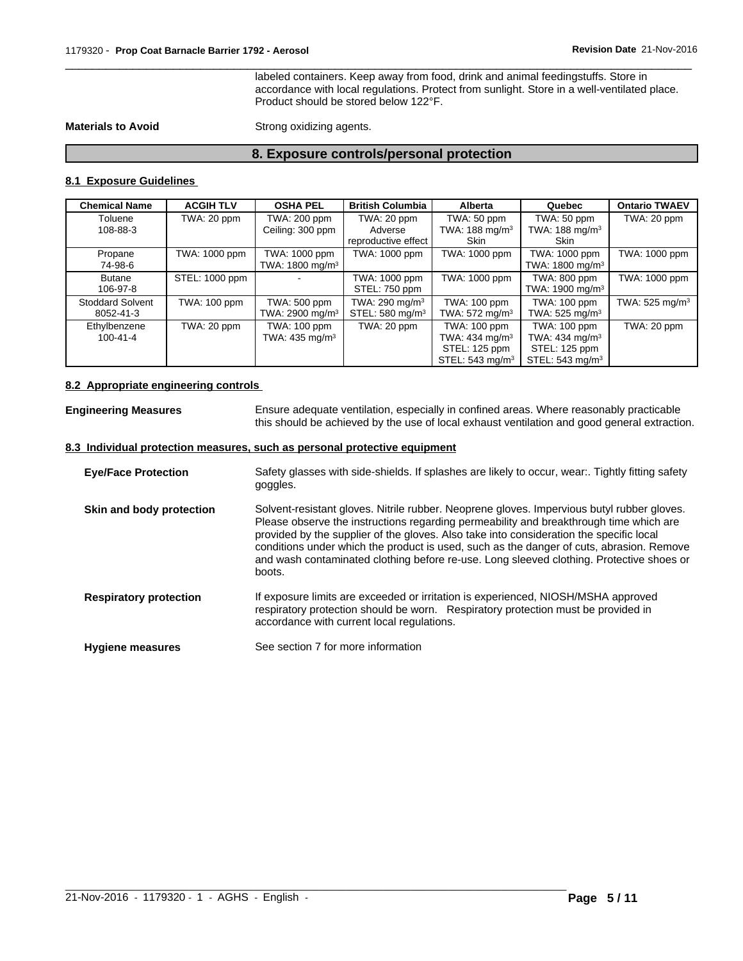labeled containers. Keep away from food, drink and animal feedingstuffs. Store in accordance with local regulations. Protect from sunlight. Store in a well-ventilated place. Product should be stored below 122°F.

 $\overline{\phantom{a}}$  ,  $\overline{\phantom{a}}$  ,  $\overline{\phantom{a}}$  ,  $\overline{\phantom{a}}$  ,  $\overline{\phantom{a}}$  ,  $\overline{\phantom{a}}$  ,  $\overline{\phantom{a}}$  ,  $\overline{\phantom{a}}$  ,  $\overline{\phantom{a}}$  ,  $\overline{\phantom{a}}$  ,  $\overline{\phantom{a}}$  ,  $\overline{\phantom{a}}$  ,  $\overline{\phantom{a}}$  ,  $\overline{\phantom{a}}$  ,  $\overline{\phantom{a}}$  ,  $\overline{\phantom{a}}$ 

**Materials to Avoid** Strong oxidizing agents.

# **8. Exposure controls/personal protection**

# **8.1 Exposure Guidelines**

| <b>Chemical Name</b>                 | <b>ACGIH TLV</b> | <b>OSHA PEL</b>                              | <b>British Columbia</b>                                   | <b>Alberta</b>                                                | Quebec                                                     | <b>Ontario TWAEV</b>      |
|--------------------------------------|------------------|----------------------------------------------|-----------------------------------------------------------|---------------------------------------------------------------|------------------------------------------------------------|---------------------------|
| Toluene                              | TWA: 20 ppm      | TWA: 200 ppm                                 | TWA: 20 ppm                                               | TWA: 50 ppm                                                   | TWA: 50 ppm                                                | TWA: 20 ppm               |
| 108-88-3                             |                  | Ceiling: 300 ppm                             | Adverse<br>reproductive effect                            | TWA: 188 mg/m <sup>3</sup><br>Skin                            | TWA: $188 \text{ mg/m}^3$<br>Skin                          |                           |
| Propane<br>74-98-6                   | TWA: 1000 ppm    | TWA: 1000 ppm<br>TWA: 1800 mg/m <sup>3</sup> | TWA: 1000 ppm                                             | TWA: 1000 ppm                                                 | TWA: 1000 ppm<br>TWA: 1800 mg/m <sup>3</sup>               | TWA: 1000 ppm             |
| <b>Butane</b><br>106-97-8            | STEL: 1000 ppm   |                                              | TWA: 1000 ppm<br>STEL: 750 ppm                            | TWA: 1000 ppm                                                 | TWA: 800 ppm<br>TWA: 1900 mg/m <sup>3</sup>                | TWA: 1000 ppm             |
| <b>Stoddard Solvent</b><br>8052-41-3 | TWA: 100 ppm     | TWA: 500 ppm<br>TWA: 2900 mg/m <sup>3</sup>  | TWA: 290 mg/m <sup>3</sup><br>STEL: 580 mg/m <sup>3</sup> | TWA: 100 ppm<br>TWA: $572 \text{ mg/m}^3$                     | TWA: 100 ppm<br>TWA: $525 \text{ mg/m}^3$                  | TWA: $525 \text{ mg/m}^3$ |
| Ethylbenzene<br>100-41-4             | TWA: 20 ppm      | TWA: 100 ppm<br>TWA: 435 mg/m <sup>3</sup>   | TWA: 20 ppm                                               | TWA: 100 ppm<br>TWA: $434$ mg/m <sup>3</sup><br>STEL: 125 ppm | TWA: 100 ppm<br>TWA: $434 \text{ mg/m}^3$<br>STEL: 125 ppm | TWA: 20 ppm               |
|                                      |                  |                                              |                                                           | STEL: 543 mg/m <sup>3</sup>                                   | STEL: $543$ mg/m <sup>3</sup>                              |                           |

# **8.2 Appropriate engineering controls**

| <b>Engineering Measures</b>   | Ensure adequate ventilation, especially in confined areas. Where reasonably practicable<br>this should be achieved by the use of local exhaust ventilation and good general extraction.                                                                                                                                                                                                                                                                                           |
|-------------------------------|-----------------------------------------------------------------------------------------------------------------------------------------------------------------------------------------------------------------------------------------------------------------------------------------------------------------------------------------------------------------------------------------------------------------------------------------------------------------------------------|
|                               | 8.3 Individual protection measures, such as personal protective equipment                                                                                                                                                                                                                                                                                                                                                                                                         |
| <b>Eye/Face Protection</b>    | Safety glasses with side-shields. If splashes are likely to occur, wear:. Tightly fitting safety<br>goggles.                                                                                                                                                                                                                                                                                                                                                                      |
| Skin and body protection      | Solvent-resistant gloves. Nitrile rubber. Neoprene gloves. Impervious butyl rubber gloves.<br>Please observe the instructions regarding permeability and breakthrough time which are<br>provided by the supplier of the gloves. Also take into consideration the specific local<br>conditions under which the product is used, such as the danger of cuts, abrasion. Remove<br>and wash contaminated clothing before re-use. Long sleeved clothing. Protective shoes or<br>boots. |
| <b>Respiratory protection</b> | If exposure limits are exceeded or irritation is experienced, NIOSH/MSHA approved<br>respiratory protection should be worn. Respiratory protection must be provided in<br>accordance with current local regulations.                                                                                                                                                                                                                                                              |
| <b>Hygiene measures</b>       | See section 7 for more information                                                                                                                                                                                                                                                                                                                                                                                                                                                |

 $\_$  ,  $\_$  ,  $\_$  ,  $\_$  ,  $\_$  ,  $\_$  ,  $\_$  ,  $\_$  ,  $\_$  ,  $\_$  ,  $\_$  ,  $\_$  ,  $\_$  ,  $\_$  ,  $\_$  ,  $\_$  ,  $\_$  ,  $\_$  ,  $\_$  ,  $\_$  ,  $\_$  ,  $\_$  ,  $\_$  ,  $\_$  ,  $\_$  ,  $\_$  ,  $\_$  ,  $\_$  ,  $\_$  ,  $\_$  ,  $\_$  ,  $\_$  ,  $\_$  ,  $\_$  ,  $\_$  ,  $\_$  ,  $\_$  ,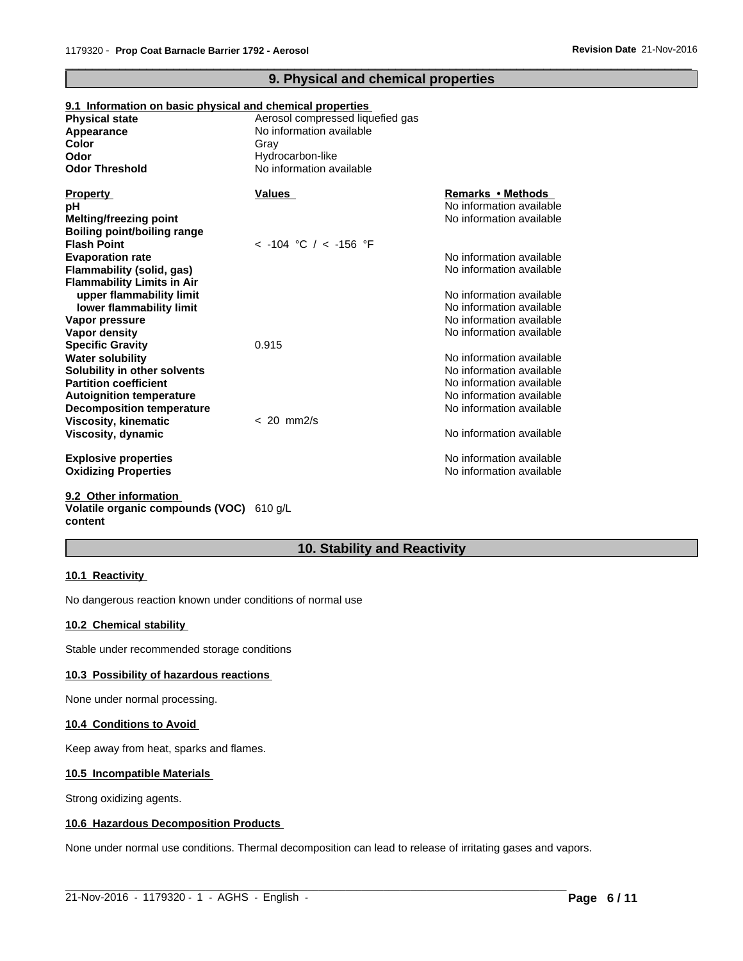# **9. Physical and chemical properties**

 $\overline{\phantom{a}}$  ,  $\overline{\phantom{a}}$  ,  $\overline{\phantom{a}}$  ,  $\overline{\phantom{a}}$  ,  $\overline{\phantom{a}}$  ,  $\overline{\phantom{a}}$  ,  $\overline{\phantom{a}}$  ,  $\overline{\phantom{a}}$  ,  $\overline{\phantom{a}}$  ,  $\overline{\phantom{a}}$  ,  $\overline{\phantom{a}}$  ,  $\overline{\phantom{a}}$  ,  $\overline{\phantom{a}}$  ,  $\overline{\phantom{a}}$  ,  $\overline{\phantom{a}}$  ,  $\overline{\phantom{a}}$ 

# **9.1 Information on basic physical and chemical properties**

| <b>Physical state</b>                                        | Aerosol compressed liquefied gas |                          |
|--------------------------------------------------------------|----------------------------------|--------------------------|
| Appearance                                                   | No information available         |                          |
| Color                                                        | Gray                             |                          |
| Odor                                                         | Hydrocarbon-like                 |                          |
| <b>Odor Threshold</b>                                        | No information available         |                          |
| <b>Property</b>                                              | Values                           | Remarks • Methods        |
| рH                                                           |                                  | No information available |
| <b>Melting/freezing point</b><br>Boiling point/boiling range |                                  | No information available |
| <b>Flash Point</b>                                           | $<$ -104 °C / $<$ -156 °F        |                          |
| <b>Evaporation rate</b>                                      |                                  | No information available |
| <b>Flammability (solid, gas)</b>                             |                                  | No information available |
| <b>Flammability Limits in Air</b>                            |                                  |                          |
| upper flammability limit                                     |                                  | No information available |
| lower flammability limit                                     |                                  | No information available |
| Vapor pressure                                               |                                  | No information available |
| Vapor density                                                |                                  | No information available |
| <b>Specific Gravity</b>                                      | 0.915                            |                          |
| <b>Water solubility</b>                                      |                                  | No information available |
| Solubility in other solvents                                 |                                  | No information available |
| <b>Partition coefficient</b>                                 |                                  | No information available |
| <b>Autoignition temperature</b>                              |                                  | No information available |
| Decomposition temperature                                    |                                  | No information available |
| <b>Viscosity, kinematic</b>                                  | $< 20$ mm $2/s$                  |                          |
| Viscosity, dynamic                                           |                                  | No information available |
| <b>Explosive properties</b>                                  |                                  | No information available |
| <b>Oxidizing Properties</b>                                  |                                  | No information available |
| 9.2 Other information                                        |                                  |                          |

# **Volatile organic compounds (VOC)** 610 g/L **content**

# **10. Stability and Reactivity**

#### **10.1 Reactivity**

No dangerous reaction known under conditions of normal use

#### **10.2 Chemical stability**

Stable under recommended storage conditions

#### **10.3 Possibility of hazardous reactions**

None under normal processing.

#### **10.4 Conditions to Avoid**

Keep away from heat, sparks and flames.

#### **10.5 Incompatible Materials**

Strong oxidizing agents.

#### **10.6 Hazardous Decomposition Products**

None under normal use conditions. Thermal decomposition can lead to release of irritating gases and vapors.

 $\_$  ,  $\_$  ,  $\_$  ,  $\_$  ,  $\_$  ,  $\_$  ,  $\_$  ,  $\_$  ,  $\_$  ,  $\_$  ,  $\_$  ,  $\_$  ,  $\_$  ,  $\_$  ,  $\_$  ,  $\_$  ,  $\_$  ,  $\_$  ,  $\_$  ,  $\_$  ,  $\_$  ,  $\_$  ,  $\_$  ,  $\_$  ,  $\_$  ,  $\_$  ,  $\_$  ,  $\_$  ,  $\_$  ,  $\_$  ,  $\_$  ,  $\_$  ,  $\_$  ,  $\_$  ,  $\_$  ,  $\_$  ,  $\_$  ,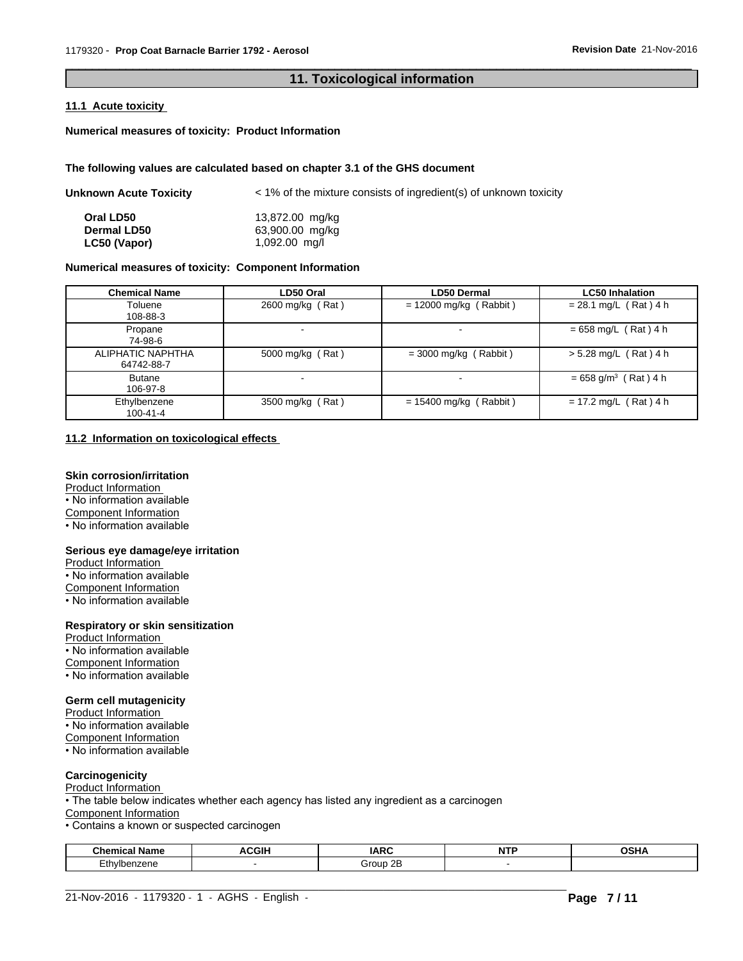# **11. Toxicological information**

 $\overline{\phantom{a}}$  ,  $\overline{\phantom{a}}$  ,  $\overline{\phantom{a}}$  ,  $\overline{\phantom{a}}$  ,  $\overline{\phantom{a}}$  ,  $\overline{\phantom{a}}$  ,  $\overline{\phantom{a}}$  ,  $\overline{\phantom{a}}$  ,  $\overline{\phantom{a}}$  ,  $\overline{\phantom{a}}$  ,  $\overline{\phantom{a}}$  ,  $\overline{\phantom{a}}$  ,  $\overline{\phantom{a}}$  ,  $\overline{\phantom{a}}$  ,  $\overline{\phantom{a}}$  ,  $\overline{\phantom{a}}$ 

#### **11.1 Acute toxicity**

**Numerical measures of toxicity: Product Information**

#### **The following values are calculated based on chapter 3.1 of the GHS document**

| Unknown Acute Toxicity | < 1% of the mixture consists of ingredient(s) of unknown toxicity |  |
|------------------------|-------------------------------------------------------------------|--|
|                        |                                                                   |  |

| Oral LD50          | 13,872.00 mg/kg |
|--------------------|-----------------|
| <b>Dermal LD50</b> | 63,900.00 mg/kg |
| LC50 (Vapor)       | 1,092.00 mg/l   |

# **Numerical measures of toxicity: Component Information**

| <b>Chemical Name</b>            | LD50 Oral        | <b>LD50 Dermal</b>       | <b>LC50 Inhalation</b>             |
|---------------------------------|------------------|--------------------------|------------------------------------|
| Toluene<br>108-88-3             | 2600 mg/kg (Rat) | $= 12000$ mg/kg (Rabbit) | $= 28.1$ mg/L (Rat) 4 h            |
| Propane<br>74-98-6              |                  | -                        | $= 658$ mg/L (Rat) 4 h             |
| ALIPHATIC NAPHTHA<br>64742-88-7 | 5000 mg/kg (Rat) | $=$ 3000 mg/kg (Rabbit)  | $> 5.28$ mg/L (Rat) 4 h            |
| <b>Butane</b><br>106-97-8       |                  |                          | $= 658$ g/m <sup>3</sup> (Rat) 4 h |
| Ethylbenzene<br>100-41-4        | 3500 mg/kg (Rat) | $= 15400$ mg/kg (Rabbit) | $= 17.2$ mg/L (Rat) 4 h            |

#### **11.2 Information on toxicological effects**

### **Skin corrosion/irritation**

Product Information • No information available Component Information • No information available

#### **Serious eye damage/eye irritation**

Product Information • No information available Component Information • No information available

#### **Respiratory or skin sensitization**

Product Information • No information available Component Information • No information available

#### **Germ cell mutagenicity**

Product Information

 $\overline{\cdot}$  No information available

Component Information

• No information available

# **Carcinogenicity**

Product Information

• The table below indicates whether each agency has listed any ingredient as a carcinogen

Component Information

• Contains a known or suspected carcinogen

| <b>Chemical Name</b>        | <b>ACGIH</b> | <b>IARC</b>    | <b>STATES</b><br>N | <b>OCU</b><br>ıβ<br> |
|-----------------------------|--------------|----------------|--------------------|----------------------|
| 007anc<br>TDenzene<br>— u 1 |              | --<br>`roup 2∟ |                    |                      |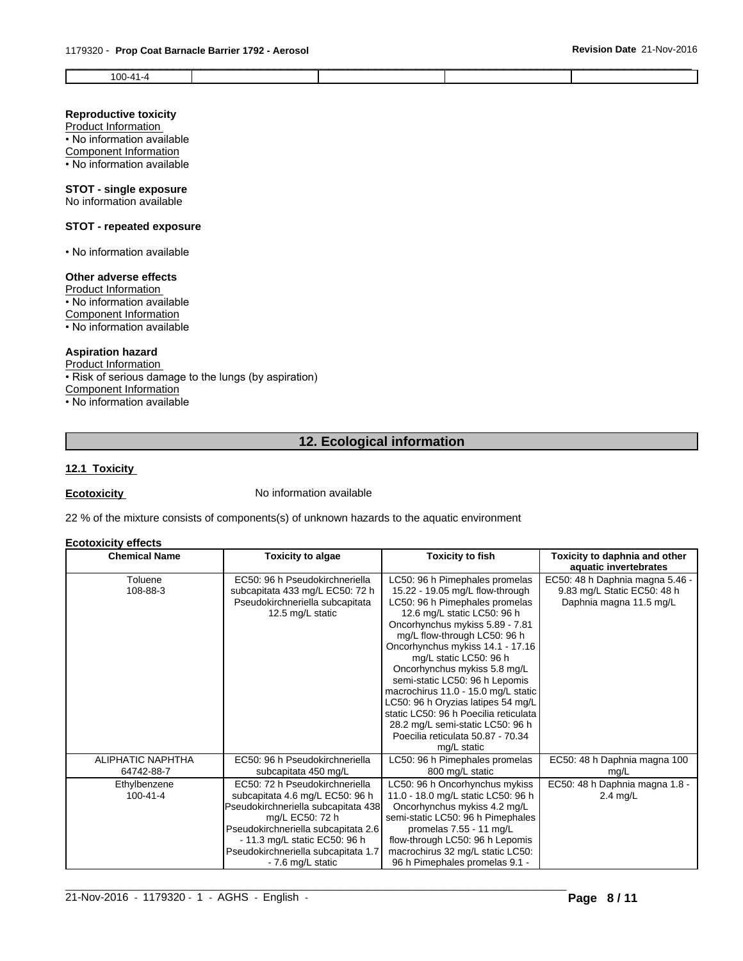#### **Revision Date** 21-Nov-2016

| $\mathbf{v}$<br>. |  |  |
|-------------------|--|--|
|                   |  |  |
|                   |  |  |

# **Reproductive toxicity**

Product Information

• No information available Component Information

• No information available

# **STOT - single exposure**

No information available

# **STOT - repeated exposure**

• No information available

# **Other adverse effects**

Product Information • No information available Component Information

• No information available

# **Aspiration hazard**

Product Information • Risk of serious damage to the lungs (by aspiration) Component Information • No information available

# **12. Ecological information**

# **12.1 Toxicity**

**Ecotoxicity No information available** 

22 % of the mixture consists of components(s) of unknown hazards to the aquatic environment

#### **Ecotoxicity effects**

| <b>Chemical Name</b>            | <b>Toxicity to algae</b>                                                                                                                                                                                                                                        | <b>Toxicity to fish</b>                                                                                                                                                                                                                                                                                                                                                                                                                                                                                                                             | Toxicity to daphnia and other<br>aquatic invertebrates                                    |
|---------------------------------|-----------------------------------------------------------------------------------------------------------------------------------------------------------------------------------------------------------------------------------------------------------------|-----------------------------------------------------------------------------------------------------------------------------------------------------------------------------------------------------------------------------------------------------------------------------------------------------------------------------------------------------------------------------------------------------------------------------------------------------------------------------------------------------------------------------------------------------|-------------------------------------------------------------------------------------------|
| Toluene<br>108-88-3             | EC50: 96 h Pseudokirchneriella<br>subcapitata 433 mg/L EC50: 72 h<br>Pseudokirchneriella subcapitata<br>12.5 mg/L static                                                                                                                                        | LC50: 96 h Pimephales promelas<br>15.22 - 19.05 mg/L flow-through<br>LC50: 96 h Pimephales promelas<br>12.6 mg/L static LC50: 96 h<br>Oncorhynchus mykiss 5.89 - 7.81<br>mg/L flow-through LC50: 96 h<br>Oncorhynchus mykiss 14.1 - 17.16<br>mg/L static LC50: 96 h<br>Oncorhynchus mykiss 5.8 mg/L<br>semi-static LC50: 96 h Lepomis<br>macrochirus 11.0 - 15.0 mg/L static<br>LC50: 96 h Oryzias latipes 54 mg/L<br>static LC50: 96 h Poecilia reticulata<br>28.2 mg/L semi-static LC50: 96 h<br>Poecilia reticulata 50.87 - 70.34<br>mg/L static | EC50: 48 h Daphnia magna 5.46 -<br>9.83 mg/L Static EC50: 48 h<br>Daphnia magna 11.5 mg/L |
| ALIPHATIC NAPHTHA<br>64742-88-7 | EC50: 96 h Pseudokirchneriella<br>subcapitata 450 mg/L                                                                                                                                                                                                          | LC50: 96 h Pimephales promelas<br>800 mg/L static                                                                                                                                                                                                                                                                                                                                                                                                                                                                                                   | EC50: 48 h Daphnia magna 100<br>mq/L                                                      |
| Ethylbenzene<br>$100 - 41 - 4$  | EC50: 72 h Pseudokirchneriella<br>subcapitata 4.6 mg/L EC50: 96 h<br>Pseudokirchneriella subcapitata 438<br>mg/L EC50: 72 h<br>Pseudokirchneriella subcapitata 2.6<br>- 11.3 mg/L static EC50: 96 h<br>Pseudokirchneriella subcapitata 1.7<br>- 7.6 mg/L static | LC50: 96 h Oncorhynchus mykiss<br>11.0 - 18.0 mg/L static LC50: 96 h<br>Oncorhynchus mykiss 4.2 mg/L<br>semi-static LC50: 96 h Pimephales<br>promelas 7.55 - 11 mg/L<br>flow-through LC50: 96 h Lepomis<br>macrochirus 32 mg/L static LC50:<br>96 h Pimephales promelas 9.1 -                                                                                                                                                                                                                                                                       | EC50: 48 h Daphnia magna 1.8 -<br>2.4 mg/L                                                |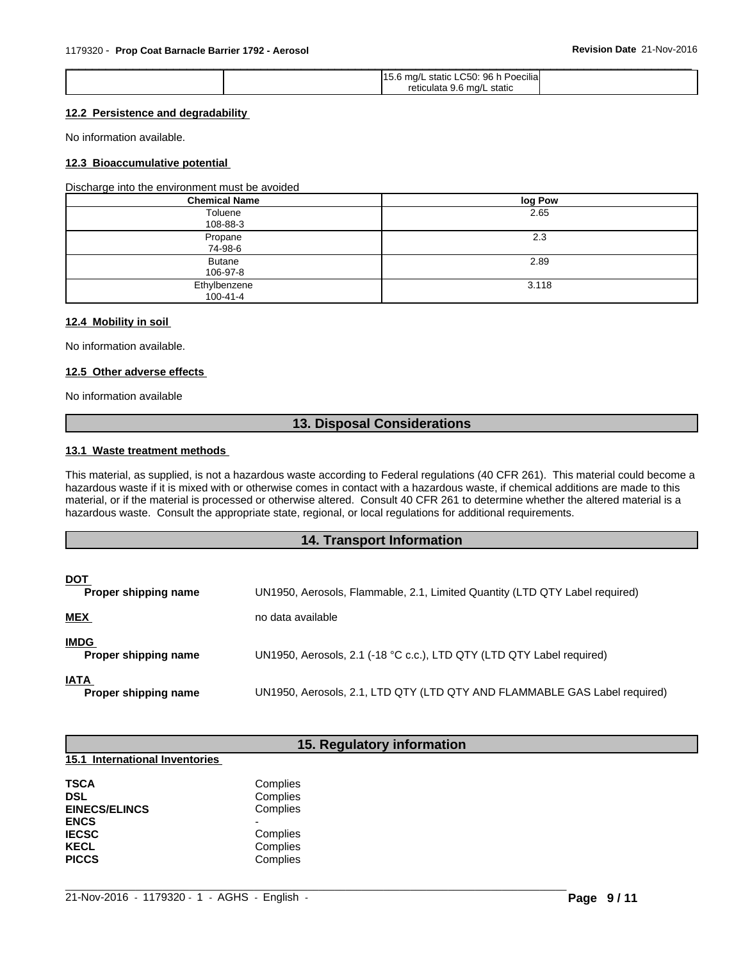| 96 h Poecilial<br>LC50:<br>. static<br>5.6 ma |
|-----------------------------------------------|
| reticulata 9.6 mg/L static                    |

# **12.2 Persistence and degradability**

No information available.

#### **12.3 Bioaccumulative potential**

Discharge into the environment must be avoided

| <b>Chemical Name</b>      | log Pow |
|---------------------------|---------|
| Toluene<br>108-88-3       | 2.65    |
| Propane<br>74-98-6        | 2.3     |
| <b>Butane</b><br>106-97-8 | 2.89    |
| Ethylbenzene<br>100-41-4  | 3.118   |

#### **12.4 Mobility in soil**

No information available.

#### **12.5 Other adverse effects**

No information available

# **13. Disposal Considerations**

#### **13.1 Waste treatment methods**

This material, as supplied, is not a hazardous waste according to Federal regulations (40 CFR 261). This material could become a hazardous waste if it is mixed with or otherwise comes in contact with a hazardous waste, if chemical additions are made to this material, or if the material is processed or otherwise altered. Consult 40 CFR 261 to determine whether the altered material is a hazardous waste. Consult the appropriate state, regional, or local regulations for additional requirements.

# **14. Transport Information**

| <b>DOT</b><br>Proper shipping name  | UN1950, Aerosols, Flammable, 2.1, Limited Quantity (LTD QTY Label required) |
|-------------------------------------|-----------------------------------------------------------------------------|
| <u>MEX</u>                          | no data available                                                           |
| <b>IMDG</b><br>Proper shipping name | UN1950, Aerosols, 2.1 (-18 °C c.c.), LTD QTY (LTD QTY Label required)       |
| <b>IATA</b><br>Proper shipping name | UN1950, Aerosols, 2.1, LTD QTY (LTD QTY AND FLAMMABLE GAS Label required)   |

# **15. Regulatory information**

 $\_$  ,  $\_$  ,  $\_$  ,  $\_$  ,  $\_$  ,  $\_$  ,  $\_$  ,  $\_$  ,  $\_$  ,  $\_$  ,  $\_$  ,  $\_$  ,  $\_$  ,  $\_$  ,  $\_$  ,  $\_$  ,  $\_$  ,  $\_$  ,  $\_$  ,  $\_$  ,  $\_$  ,  $\_$  ,  $\_$  ,  $\_$  ,  $\_$  ,  $\_$  ,  $\_$  ,  $\_$  ,  $\_$  ,  $\_$  ,  $\_$  ,  $\_$  ,  $\_$  ,  $\_$  ,  $\_$  ,  $\_$  ,  $\_$  ,

# **15.1 International Inventories**

| <b>TSCA</b>          | Complies |
|----------------------|----------|
| DSL                  | Complies |
| <b>EINECS/ELINCS</b> | Complies |
| <b>ENCS</b>          |          |
| <b>IECSC</b>         | Complies |
| <b>KECL</b>          | Complies |
| <b>PICCS</b>         | Complies |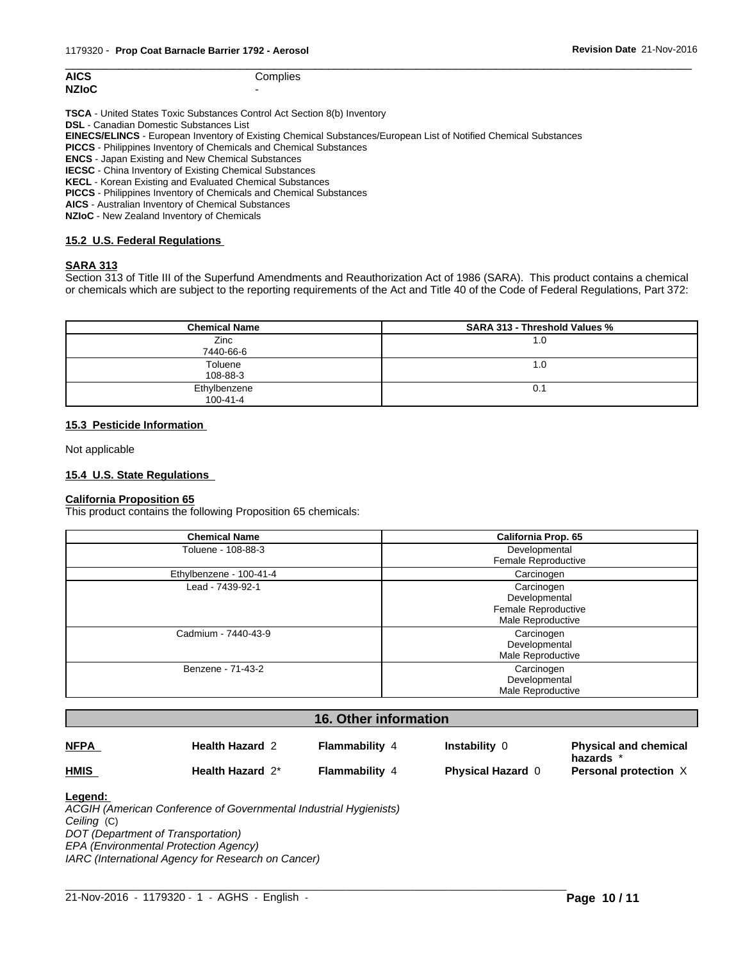| <b>AICS</b>  | Complies |
|--------------|----------|
| <b>NZIoC</b> | -        |

**AICS** Complies

**TSCA** - United States Toxic Substances Control Act Section 8(b) Inventory

**DSL** - Canadian Domestic Substances List

**EINECS/ELINCS** - European Inventory of Existing Chemical Substances/European List of Notified Chemical Substances

**PICCS** - Philippines Inventory of Chemicals and Chemical Substances

**ENCS** - Japan Existing and New Chemical Substances

**IECSC** - China Inventory of Existing Chemical Substances

**KECL** - Korean Existing and Evaluated Chemical Substances

**PICCS** - Philippines Inventory of Chemicals and Chemical Substances

**AICS** - Australian Inventory of Chemical Substances

**NZIoC** - New Zealand Inventory of Chemicals

#### **15.2 U.S. Federal Regulations**

#### **SARA 313**

Section 313 of Title III of the Superfund Amendments and Reauthorization Act of 1986 (SARA). This product contains a chemical or chemicals which are subject to the reporting requirements of the Act and Title 40 of the Code of Federal Regulations, Part 372:

 $\overline{\phantom{a}}$  ,  $\overline{\phantom{a}}$  ,  $\overline{\phantom{a}}$  ,  $\overline{\phantom{a}}$  ,  $\overline{\phantom{a}}$  ,  $\overline{\phantom{a}}$  ,  $\overline{\phantom{a}}$  ,  $\overline{\phantom{a}}$  ,  $\overline{\phantom{a}}$  ,  $\overline{\phantom{a}}$  ,  $\overline{\phantom{a}}$  ,  $\overline{\phantom{a}}$  ,  $\overline{\phantom{a}}$  ,  $\overline{\phantom{a}}$  ,  $\overline{\phantom{a}}$  ,  $\overline{\phantom{a}}$ 

| <b>Chemical Name</b>     | <b>SARA 313 - Threshold Values %</b> |
|--------------------------|--------------------------------------|
| Zinc<br>7440-66-6        | 1.0                                  |
| Toluene<br>108-88-3      | 0.1                                  |
| Ethylbenzene<br>100-41-4 | 0.1                                  |

#### **15.3 Pesticide Information**

Not applicable

#### **15.4 U.S. State Regulations**

#### **California Proposition 65**

This product contains the following Proposition 65 chemicals:

| <b>Chemical Name</b>    | California Prop. 65                                                     |
|-------------------------|-------------------------------------------------------------------------|
| Toluene - 108-88-3      | Developmental<br>Female Reproductive                                    |
| Ethylbenzene - 100-41-4 | Carcinogen                                                              |
| Lead - 7439-92-1        | Carcinogen<br>Developmental<br>Female Reproductive<br>Male Reproductive |
| Cadmium - 7440-43-9     | Carcinogen<br>Developmental<br>Male Reproductive                        |
| Benzene - 71-43-2       | Carcinogen<br>Developmental<br>Male Reproductive                        |

# **16. Other information**

| <u>NFPA</u> | <b>Health Hazard 2</b> | Flammability 4 | Instability (            | <b>Physical and chemical</b><br>hazards * |
|-------------|------------------------|----------------|--------------------------|-------------------------------------------|
| <u>HMIS</u> | Health Hazard 2*       | Flammability 4 | <b>Physical Hazard 0</b> | Personal protection X                     |

#### **Legend:**

*ACGIH (American Conference of Governmental Industrial Hygienists) Ceiling* (C) *DOT (Department of Transportation) EPA (Environmental Protection Agency) IARC (International Agency for Research on Cancer)*